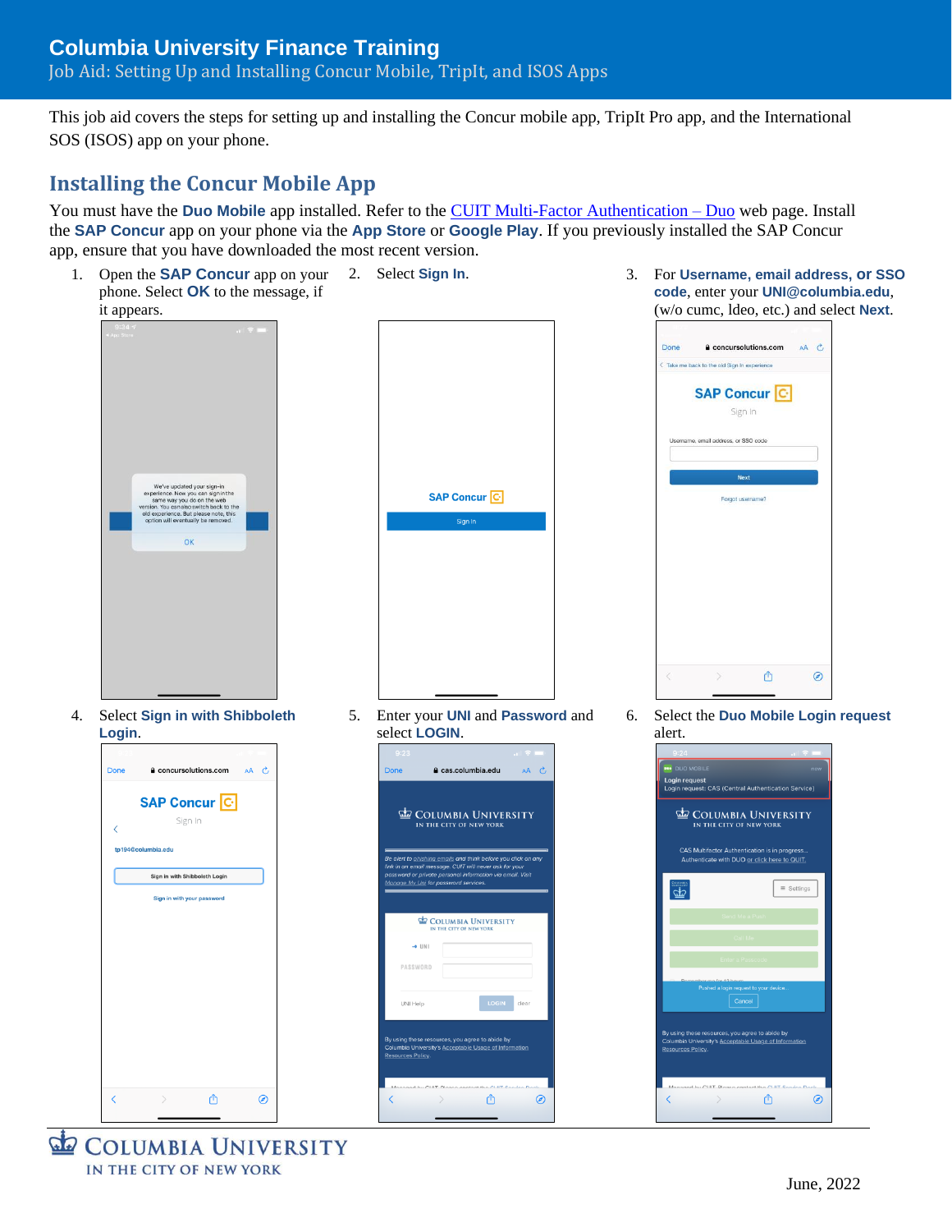This job aid covers the steps for setting up and installing the Concur mobile app, TripIt Pro app, and the International SOS (ISOS) app on your phone.

### **Installing the Concur Mobile App**

You must have the **Duo Mobile** app installed. Refer to the **CUIT Multi-Factor Authentication – Duo** web page. Install the **SAP Concur** app on your phone via the **App Store** or **Google Play**. If you previously installed the SAP Concur app, ensure that you have downloaded the most recent version.



**COLUMBIA UNIVERSITY** IN THE CITY OF NEW YORK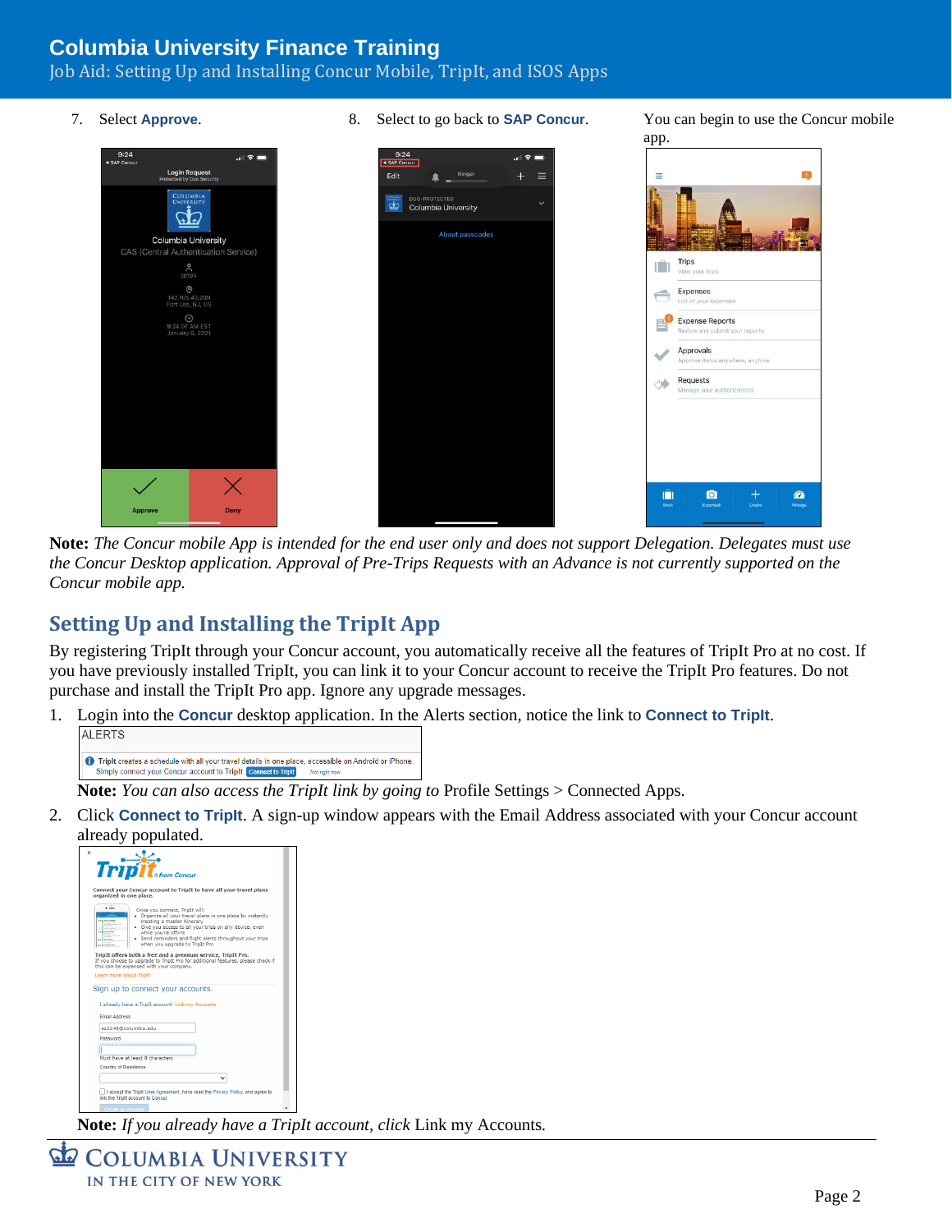Job Aid: Setting Up and Installing Concur Mobile, TripIt, and ISOS Apps

- 
- 7. Select **Approve**. 8. Select to go back to **SAP Concur**. You can begin to use the Concur mobile



**Note:** *The Concur mobile App is intended for the end user only and does not support Delegation. Delegates must use the Concur Desktop application. Approval of Pre-Trips Requests with an Advance is not currently supported on the Concur mobile app.*

# **Setting Up and Installing the TripIt App**

By registering TripIt through your Concur account, you automatically receive all the features of TripIt Pro at no cost. If you have previously installed TripIt, you can link it to your Concur account to receive the TripIt Pro features. Do not purchase and install the TripIt Pro app. Ignore any upgrade messages.

1. Login into the **Concur** desktop application. In the Alerts section, notice the link to **Connect to TripIt**.



**Note:** *You can also access the TripIt link by going to* Profile Settings > Connected Apps.

2. Click **Connect to TripIt**. A sign-up window appears with the Email Address associated with your Concur account



**Note:** *If you already have a TripIt account, click* Link my Accounts*.*

COLUMBIA UNIVERSITY IN THE CITY OF NEW YORK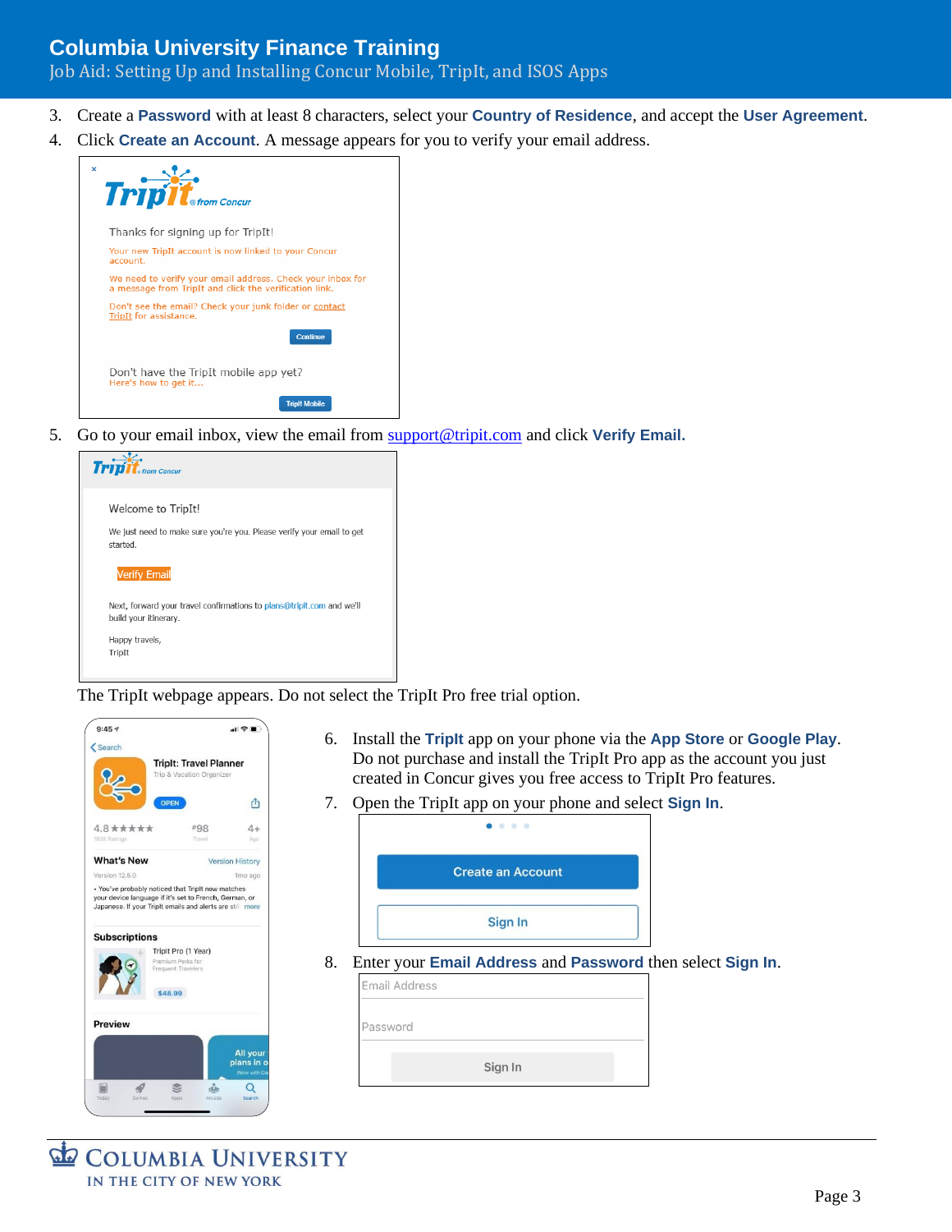#### Job Aid: Setting Up and Installing Concur Mobile, TripIt, and ISOS Apps

- 3. Create a **Password** with at least 8 characters, select your **Country of Residence**, and accept the **User Agreement**.
- 4. Click **Create an Account**. A message appears for you to verify your email address.



5. Go to your email inbox, view the email from [support@tripit.com](mailto:support@tripit.com) and click **Verify Email.**

| <b>Tripit</b><br>k<br>⊕ from Concur                                                            |
|------------------------------------------------------------------------------------------------|
| Welcome to TripIt!                                                                             |
| We just need to make sure you're you. Please verify your email to get<br>started.              |
| <b>Verify Email</b>                                                                            |
| Next, forward your travel confirmations to plans@tripit.com and we'll<br>build your itinerary. |
| Happy travels,                                                                                 |
| TripIt                                                                                         |
|                                                                                                |

The TripIt webpage appears. Do not select the TripIt Pro free trial option.

| Search                                                                    |                                                                                                                     |                                        |
|---------------------------------------------------------------------------|---------------------------------------------------------------------------------------------------------------------|----------------------------------------|
|                                                                           | <b>TripIt: Travel Planner</b>                                                                                       |                                        |
|                                                                           | Trip & Vacation Organizer                                                                                           |                                        |
|                                                                           | <b>OPEN</b>                                                                                                         | rħ                                     |
| $4.8 \star \star \star \star$                                             | #98                                                                                                                 | $4+$                                   |
| 183K Ratings                                                              | Travel                                                                                                              | Age.                                   |
| <b>What's New</b>                                                         |                                                                                                                     | <b>Version History</b>                 |
| Version 12.5.0                                                            |                                                                                                                     | 1mo ago                                |
|                                                                           | your device language if it's set to French, German, or<br>Japanese. If your TripIt emails and alerts are still more |                                        |
|                                                                           | Triplt Pro (1 Year)<br>Premium Perks for<br>Frequent Travelers                                                      |                                        |
| • You've probably noticed that Triplt now matches<br><b>Subscriptions</b> | \$48.99                                                                                                             |                                        |
| <b>Preview</b>                                                            |                                                                                                                     |                                        |
|                                                                           |                                                                                                                     | All your<br>plans in o<br>Now with Day |

- 6. Install the **TripIt** app on your phone via the **App Store** or **Google Play**. Do not purchase and install the TripIt Pro app as the account you just created in Concur gives you free access to TripIt Pro features.
- 7. Open the TripIt app on your phone and select **Sign In**.

|    | . .                                                        |  |
|----|------------------------------------------------------------|--|
|    | <b>Create an Account</b>                                   |  |
|    | Sign In                                                    |  |
| 8. | Enter your Email Address and Password then select Sign In. |  |
|    | Email Address                                              |  |

| Password |         |  |
|----------|---------|--|
|          |         |  |
|          | Sign In |  |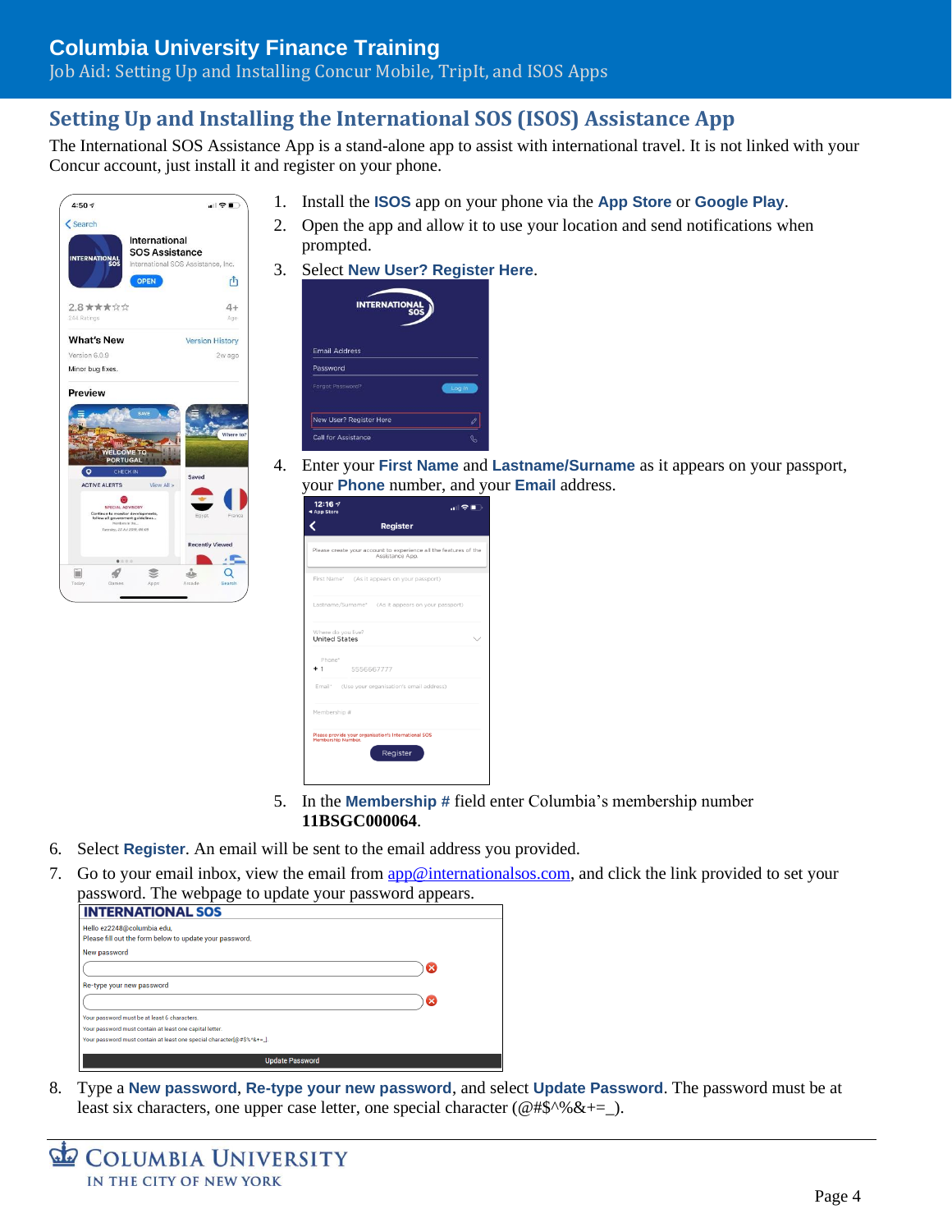#### Job Aid: Setting Up and Installing Concur Mobile, TripIt, and ISOS Apps

### **Setting Up and Installing the International SOS (ISOS) Assistance App**

The International SOS Assistance App is a stand-alone app to assist with international travel. It is not linked with your Concur account, just install it and register on your phone.



- 1. Install the **ISOS** app on your phone via the **App Store** or **Google Play**.
- 2. Open the app and allow it to use your location and send notifications when prompted.
- 3. Select **New User? Register Here**.



4. Enter your **First Name** and **Lastname/Surname** as it appears on your passport, your **Phone** number, and your **Email** address.

| 12:16 $\sim$<br>4 App Store | ਗ ∻ ∎ੇ                                                                                 |
|-----------------------------|----------------------------------------------------------------------------------------|
|                             | <b>Register</b>                                                                        |
|                             | Please create your account to experience all the features of the<br>Assistance App.    |
|                             | First Name* (As it appears on your passport)                                           |
|                             | Lastname/Surname* (As it appears on your passport)                                     |
| <b>United States</b>        | Where do you live?                                                                     |
| Phone*                      | 5556667777                                                                             |
|                             | Email* (Use your organisation's email address)                                         |
| Membership #                |                                                                                        |
|                             | Please provide your organisation's International SOS<br>Membership Number.<br>Register |

- 5. In the **Membership #** field enter Columbia's membership number **11BSGC000064**.
- 6. Select **Register**. An email will be sent to the email address you provided.
- 7. Go to your email inbox, view the email from [app@internationalsos.com,](mailto:app@internationalsos.com) and click the link provided to set your password. The webpage to update your password appears.

| Hello ez2248@columbia.edu,<br>Please fill out the form below to update your password. |   |
|---------------------------------------------------------------------------------------|---|
| New password                                                                          |   |
|                                                                                       | × |
| Re-type your new password                                                             |   |
|                                                                                       | × |
| Your password must be at least 6 characters.                                          |   |
| Your password must contain at least one capital letter.                               |   |
| Your password must contain at least one special character[@#\$%^&+=_].                |   |

8. Type a **New password**, **Re-type your new password**, and select **Update Password**. The password must be at least six characters, one upper case letter, one special character ( $@$ #\$^% & +=  $\Box$ ).